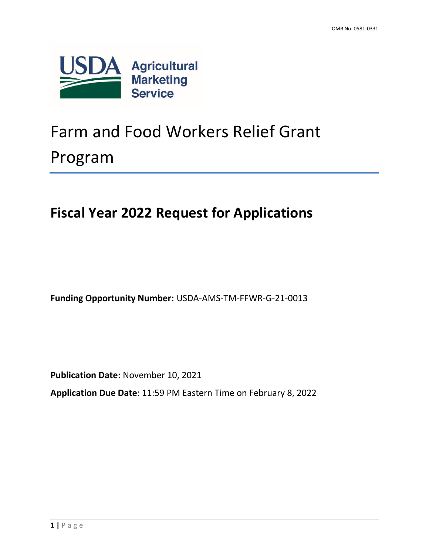

# Farm and Food Workers Relief Grant Program

# **Fiscal Year 2022 Request for Applications**

**Funding Opportunity Number:** USDA-AMS-TM-FFWR-G-21-0013

**Publication Date:** November 10, 2021

**Application Due Date**: 11:59 PM Eastern Time on February 8, 2022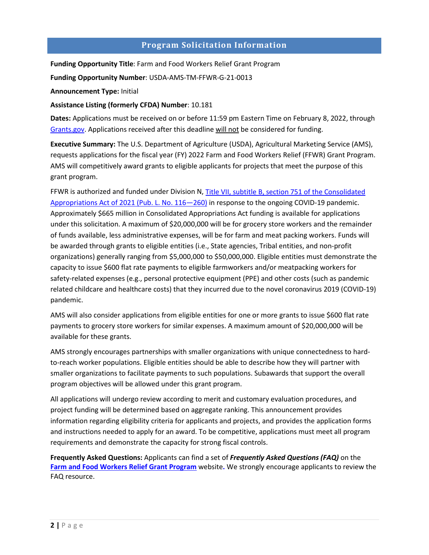# **Program Solicitation Information**

<span id="page-1-0"></span>**Funding Opportunity Title**: Farm and Food Workers Relief Grant Program

**Funding Opportunity Number**: USDA-AMS-TM-FFWR-G-21-0013

**Announcement Type:** Initial

#### **Assistance Listing (formerly CFDA) Number**: 10.181

**Dates:** Applications must be received on or before 11:59 pm Eastern Time on February 8, 2022, through [Grants.gov.](http://www.grants.gov/) Applications received after this deadline will not be considered for funding.

**Executive Summary:** The U.S. Department of Agriculture (USDA), Agricultural Marketing Service (AMS), requests applications for the fiscal year (FY) 2022 Farm and Food Workers Relief (FFWR) Grant Program. AMS will competitively award grants to eligible applicants for projects that meet the purpose of this grant program.

FFWR is authorized and funded under Division N, [Title VII, subtitle B, section 751 of the Consolidated](https://www.congress.gov/116/bills/hr133/BILLS-116hr133enr.pdf)  [Appropriations Act of 2021 \(Pub. L. No. 116—260\)](https://www.congress.gov/116/bills/hr133/BILLS-116hr133enr.pdf) in response to the ongoing COVID-19 pandemic. Approximately \$665 million in Consolidated Appropriations Act funding is available for applications under this solicitation. A maximum of \$20,000,000 will be for grocery store workers and the remainder of funds available, less administrative expenses, will be for farm and meat packing workers. Funds will be awarded through grants to eligible entities (i.e., State agencies, Tribal entities, and non-profit organizations) generally ranging from \$5,000,000 to \$50,000,000. Eligible entities must demonstrate the capacity to issue \$600 flat rate payments to eligible farmworkers and/or meatpacking workers for safety-related expenses (e.g., personal protective equipment (PPE) and other costs (such as pandemic related childcare and healthcare costs) that they incurred due to the novel coronavirus 2019 (COVID-19) pandemic.

AMS will also consider applications from eligible entities for one or more grants to issue \$600 flat rate payments to grocery store workers for similar expenses. A maximum amount of \$20,000,000 will be available for these grants.

AMS strongly encourages partnerships with smaller organizations with unique connectedness to hardto-reach worker populations. Eligible entities should be able to describe how they will partner with smaller organizations to facilitate payments to such populations. Subawards that support the overall program objectives will be allowed under this grant program.

All applications will undergo review according to merit and customary evaluation procedures, and project funding will be determined based on aggregate ranking. This announcement provides information regarding eligibility criteria for applicants and projects, and provides the application forms and instructions needed to apply for an award. To be competitive, applications must meet all program requirements and demonstrate the capacity for strong fiscal controls.

**Frequently Asked Questions:** Applicants can find a set of *Frequently Asked Questions (FAQ)* on the **[Farm and Food Workers Relief Grant](https://www.ams.usda.gov/services/grants/ffwr) Program** website**.** We strongly encourage applicants to review the FAQ resource.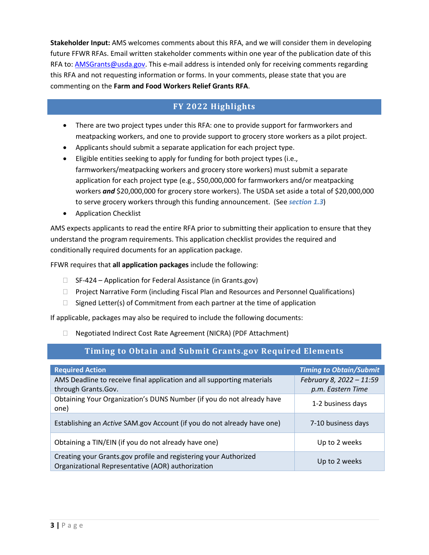**Stakeholder Input:** AMS welcomes comments about this RFA, and we will consider them in developing future FFWR RFAs. Email written stakeholder comments within one year of the publication date of this RFA to: **AMSGrants@usda.gov.** This e-mail address is intended only for receiving comments regarding this RFA and not requesting information or forms. In your comments, please state that you are commenting on the **Farm and Food Workers Relief Grants RFA**.

# **FY 2022 Highlights**

- <span id="page-2-0"></span>• There are two project types under this RFA: one to provide support for farmworkers and meatpacking workers, and one to provide support to grocery store workers as a pilot project.
- Applicants should submit a separate application for each project type.
- Eligible entities seeking to apply for funding for both project types (i.e., farmworkers/meatpacking workers and grocery store workers) must submit a separate application for each project type (e.g., \$50,000,000 for farmworkers and/or meatpacking workers *and* \$20,000,000 for grocery store workers). The USDA set aside a total of \$20,000,000 to serve grocery workers through this funding announcement. (See *section 1.3*)
- Application Checklist

AMS expects applicants to read the entire RFA prior to submitting their application to ensure that they understand the program requirements. This application checklist provides the required and conditionally required documents for an application package.

FFWR requires that **all application packages** include the following:

- $\Box$  SF-424 Application for Federal Assistance (in Grants.gov)
- $\Box$  Project Narrative Form (including Fiscal Plan and Resources and Personnel Qualifications)
- $\Box$  Signed Letter(s) of Commitment from each partner at the time of application

If applicable, packages may also be required to include the following documents:

Negotiated Indirect Cost Rate Agreement (NICRA) (PDF Attachment)

# **Timing to Obtain and Submit Grants.gov Required Elements**

<span id="page-2-1"></span>

| <b>Required Action</b>                                                                                                | <b>Timing to Obtain/Submit</b> |
|-----------------------------------------------------------------------------------------------------------------------|--------------------------------|
| AMS Deadline to receive final application and all supporting materials                                                | February 8, 2022 - 11:59       |
| through Grants.Gov.                                                                                                   | p.m. Eastern Time              |
| Obtaining Your Organization's DUNS Number (if you do not already have<br>one)                                         | 1-2 business days              |
| Establishing an Active SAM.gov Account (if you do not already have one)                                               | 7-10 business days             |
| Obtaining a TIN/EIN (if you do not already have one)                                                                  | Up to 2 weeks                  |
| Creating your Grants.gov profile and registering your Authorized<br>Organizational Representative (AOR) authorization | Up to 2 weeks                  |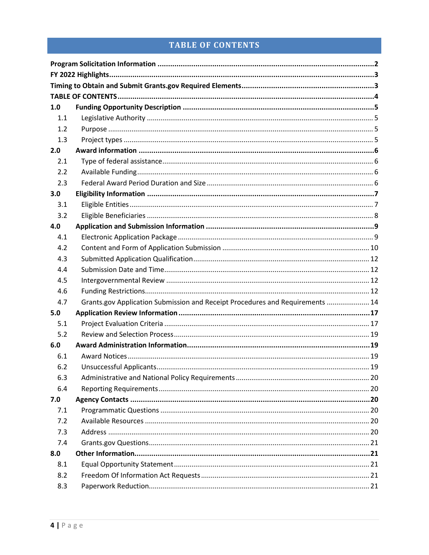# **TABLE OF CONTENTS**

<span id="page-3-0"></span>

| 1.0 |                                                                               |  |
|-----|-------------------------------------------------------------------------------|--|
| 1.1 |                                                                               |  |
| 1.2 |                                                                               |  |
| 1.3 |                                                                               |  |
| 2.0 |                                                                               |  |
| 2.1 |                                                                               |  |
| 2.2 |                                                                               |  |
| 2.3 |                                                                               |  |
| 3.0 |                                                                               |  |
| 3.1 |                                                                               |  |
| 3.2 |                                                                               |  |
| 4.0 |                                                                               |  |
| 4.1 |                                                                               |  |
| 4.2 |                                                                               |  |
| 4.3 |                                                                               |  |
| 4.4 |                                                                               |  |
| 4.5 |                                                                               |  |
| 4.6 |                                                                               |  |
| 4.7 | Grants.gov Application Submission and Receipt Procedures and Requirements  14 |  |
| 5.0 |                                                                               |  |
| 5.1 |                                                                               |  |
| 5.2 |                                                                               |  |
| 6.0 |                                                                               |  |
| 6.1 |                                                                               |  |
| 6.2 |                                                                               |  |
| 6.3 |                                                                               |  |
| 6.4 |                                                                               |  |
| 7.0 |                                                                               |  |
| 7.1 |                                                                               |  |
| 7.2 |                                                                               |  |
| 7.3 |                                                                               |  |
| 7.4 |                                                                               |  |
| 8.0 |                                                                               |  |
| 8.1 |                                                                               |  |
| 8.2 |                                                                               |  |
| 8.3 |                                                                               |  |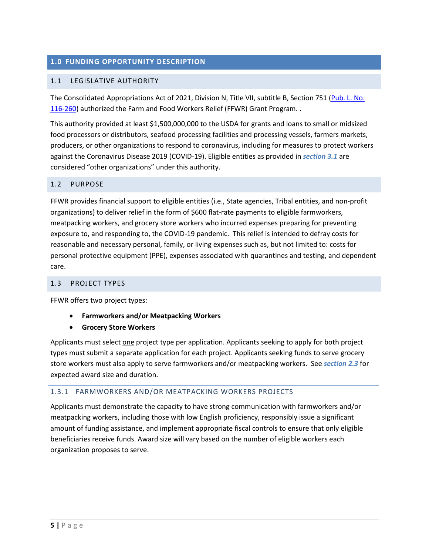#### <span id="page-4-0"></span>**1.0 FUNDING OPPORTUNITY DESCRIPTION**

#### <span id="page-4-1"></span>1.1 LEGISLATIVE AUTHORITY

The Consolidated Appropriations Act of 2021, Division N, Title VII, subtitle B, Section 751 [\(Pub. L. No.](https://www.govinfo.gov/content/pkg/BILLS-116hr133enr/pdf/BILLS-116hr133enr.pdf)  [116-260\)](https://www.govinfo.gov/content/pkg/BILLS-116hr133enr/pdf/BILLS-116hr133enr.pdf) authorized the Farm and Food Workers Relief (FFWR) Grant Program. .

This authority provided at least \$1,500,000,000 to the USDA for grants and loans to small or midsized food processors or distributors, seafood processing facilities and processing vessels, farmers markets, producers, or other organizations to respond to coronavirus, including for measures to protect workers against the Coronavirus Disease 2019 (COVID-19). Eligible entities as provided in *section [3.1](#page-6-1)* are considered "other organizations" under this authority.

#### <span id="page-4-2"></span>1.2 PURPOSE

FFWR provides financial support to eligible entities (i.e., State agencies, Tribal entities, and non-profit organizations) to deliver relief in the form of \$600 flat-rate payments to eligible farmworkers, meatpacking workers, and grocery store workers who incurred expenses preparing for preventing exposure to, and responding to, the COVID-19 pandemic. This relief is intended to defray costs for reasonable and necessary personal, family, or living expenses such as, but not limited to: costs for personal protective equipment (PPE), expenses associated with quarantines and testing, and dependent care.

#### <span id="page-4-3"></span>1.3 PROJECT TYPES

FFWR offers two project types:

- **Farmworkers and/or Meatpacking Workers**
- **Grocery Store Workers**

Applicants must select one project type per application. Applicants seeking to apply for both project types must submit a separate application for each project. Applicants seeking funds to serve grocery store workers must also apply to serve farmworkers and/or meatpacking workers. See *section 2.3* for expected award size and duration.

#### 1.3.1 FARMWORKERS AND/OR MEATPACKING WORKERS PROJECTS

Applicants must demonstrate the capacity to have strong communication with farmworkers and/or meatpacking workers, including those with low English proficiency, responsibly issue a significant amount of funding assistance, and implement appropriate fiscal controls to ensure that only eligible beneficiaries receive funds. Award size will vary based on the number of eligible workers each organization proposes to serve.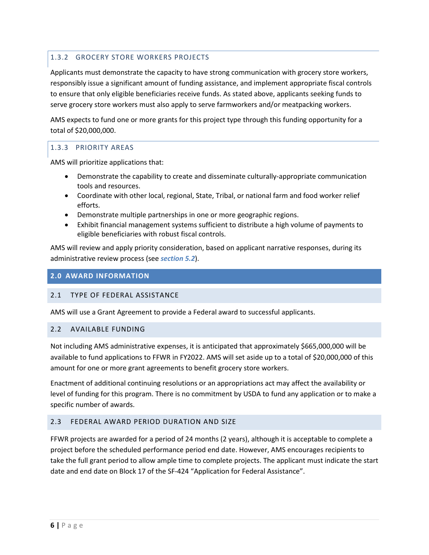#### 1.3.2 GROCERY STORE WORKERS PROJECTS

Applicants must demonstrate the capacity to have strong communication with grocery store workers, responsibly issue a significant amount of funding assistance, and implement appropriate fiscal controls to ensure that only eligible beneficiaries receive funds. As stated above, applicants seeking funds to serve grocery store workers must also apply to serve farmworkers and/or meatpacking workers.

AMS expects to fund one or more grants for this project type through this funding opportunity for a total of \$20,000,000.

#### 1.3.3 PRIORITY AREAS

AMS will prioritize applications that:

- Demonstrate the capability to create and disseminate culturally-appropriate communication tools and resources.
- Coordinate with other local, regional, State, Tribal, or national farm and food worker relief efforts.
- Demonstrate multiple partnerships in one or more geographic regions.
- Exhibit financial management systems sufficient to distribute a high volume of payments to eligible beneficiaries with robust fiscal controls.

AMS will review and apply priority consideration, based on applicant narrative responses, during its administrative review process (see *section 5.2*).

#### <span id="page-5-0"></span>**2.0 AWARD INFORMATION**

#### <span id="page-5-1"></span>2.1 TYPE OF FEDERAL ASSISTANCE

AMS will use a Grant Agreement to provide a Federal award to successful applicants.

#### <span id="page-5-2"></span>2.2 AVAILABLE FUNDING

Not including AMS administrative expenses, it is anticipated that approximately \$665,000,000 will be available to fund applications to FFWR in FY2022. AMS will set aside up to a total of \$20,000,000 of this amount for one or more grant agreements to benefit grocery store workers.

Enactment of additional continuing resolutions or an appropriations act may affect the availability or level of funding for this program. There is no commitment by USDA to fund any application or to make a specific number of awards.

#### <span id="page-5-3"></span>2.3 FEDERAL AWARD PERIOD DURATION AND SIZE

FFWR projects are awarded for a period of 24 months (2 years), although it is acceptable to complete a project before the scheduled performance period end date. However, AMS encourages recipients to take the full grant period to allow ample time to complete projects. The applicant must indicate the start date and end date on Block 17 of the SF-424 "Application for Federal Assistance".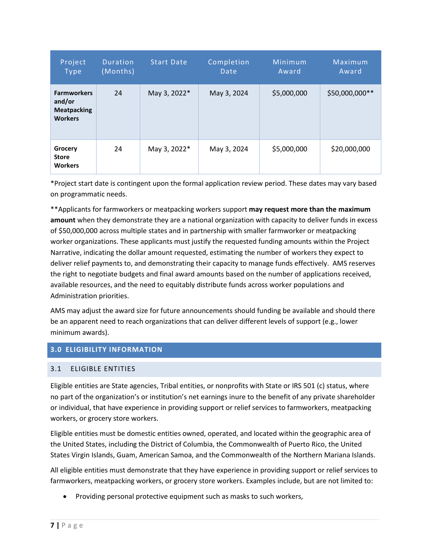| Project<br>Type                                                      | <b>Duration</b><br>(Months) | <b>Start Date</b> | Completion<br>Date | Minimum<br>Award | Maximum<br>Award |
|----------------------------------------------------------------------|-----------------------------|-------------------|--------------------|------------------|------------------|
| <b>Farmworkers</b><br>and/or<br><b>Meatpacking</b><br><b>Workers</b> | 24                          | May 3, 2022*      | May 3, 2024        | \$5,000,000      | \$50,000,000**   |
| Grocery<br><b>Store</b><br><b>Workers</b>                            | 24                          | May 3, 2022*      | May 3, 2024        | \$5,000,000      | \$20,000,000     |

\*Project start date is contingent upon the formal application review period. These dates may vary based on programmatic needs.

\*\*Applicants for farmworkers or meatpacking workers support **may request more than the maximum amount** when they demonstrate they are a national organization with capacity to deliver funds in excess of \$50,000,000 across multiple states and in partnership with smaller farmworker or meatpacking worker organizations. These applicants must justify the requested funding amounts within the Project Narrative, indicating the dollar amount requested, estimating the number of workers they expect to deliver relief payments to, and demonstrating their capacity to manage funds effectively. AMS reserves the right to negotiate budgets and final award amounts based on the number of applications received, available resources, and the need to equitably distribute funds across worker populations and Administration priorities.

AMS may adjust the award size for future announcements should funding be available and should there be an apparent need to reach organizations that can deliver different levels of support (e.g., lower minimum awards).

# <span id="page-6-0"></span>**3.0 ELIGIBILITY INFORMATION**

#### <span id="page-6-1"></span>3.1 ELIGIBLE ENTITIES

Eligible entities are State agencies, Tribal entities, or nonprofits with State or IRS 501 (c) status, where no part of the organization's or institution's net earnings inure to the benefit of any private shareholder or individual, that have experience in providing support or relief services to farmworkers, meatpacking workers, or grocery store workers.

Eligible entities must be domestic entities owned, operated, and located within the geographic area of the United States, including the District of Columbia, the Commonwealth of Puerto Rico, the United States Virgin Islands, Guam, American Samoa, and the Commonwealth of the Northern Mariana Islands.

All eligible entities must demonstrate that they have experience in providing support or relief services to farmworkers, meatpacking workers, or grocery store workers. Examples include, but are not limited to:

• Providing personal protective equipment such as masks to such workers,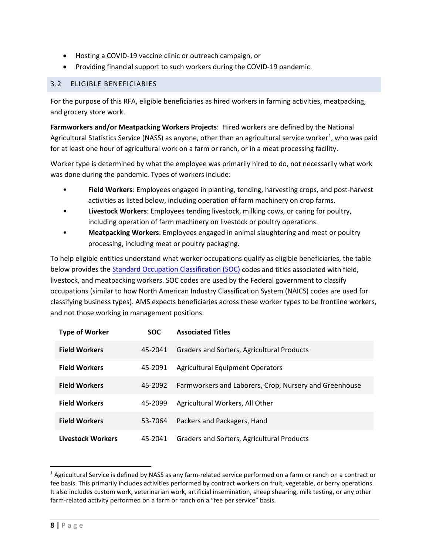- Hosting a COVID-19 vaccine clinic or outreach campaign, or
- Providing financial support to such workers during the COVID-19 pandemic.

#### <span id="page-7-0"></span>3.2 ELIGIBLE BENEFICIARIES

For the purpose of this RFA, eligible beneficiaries as hired workers in farming activities, meatpacking, and grocery store work.

**Farmworkers and/or Meatpacking Workers Projects**: Hired workers are defined by the National Agricultural Statistics Service (NASS) as anyone, other than an agricultural service worker<sup>[1](#page-7-1)</sup>, who was paid for at least one hour of agricultural work on a farm or ranch, or in a meat processing facility.

Worker type is determined by what the employee was primarily hired to do, not necessarily what work was done during the pandemic. Types of workers include:

- **Field Workers**: Employees engaged in planting, tending, harvesting crops, and post-harvest activities as listed below, including operation of farm machinery on crop farms.
- **Livestock Workers**: Employees tending livestock, milking cows, or caring for poultry, including operation of farm machinery on livestock or poultry operations.
- **Meatpacking Workers**: Employees engaged in animal slaughtering and meat or poultry processing, including meat or poultry packaging.

To help eligible entities understand what worker occupations qualify as eligible beneficiaries, the table below provides the [Standard Occupation Classification \(SOC\)](https://www.bls.gov/soc/) codes and titles associated with field, livestock, and meatpacking workers. SOC codes are used by the Federal government to classify occupations (similar to how North American Industry Classification System (NAICS) codes are used for classifying business types). AMS expects beneficiaries across these worker types to be frontline workers, and not those working in management positions.

| <b>Type of Worker</b>    | <b>SOC</b> | <b>Associated Titles</b>                               |
|--------------------------|------------|--------------------------------------------------------|
| <b>Field Workers</b>     | 45-2041    | Graders and Sorters, Agricultural Products             |
| <b>Field Workers</b>     | 45-2091    | <b>Agricultural Equipment Operators</b>                |
| <b>Field Workers</b>     | 45-2092    | Farmworkers and Laborers, Crop, Nursery and Greenhouse |
| <b>Field Workers</b>     | 45-2099    | Agricultural Workers, All Other                        |
| <b>Field Workers</b>     | 53-7064    | Packers and Packagers, Hand                            |
| <b>Livestock Workers</b> | 45-2041    | Graders and Sorters, Agricultural Products             |

<span id="page-7-1"></span><sup>1</sup> Agricultural Service is defined by NASS as any farm-related service performed on a farm or ranch on a contract or fee basis. This primarily includes activities performed by contract workers on fruit, vegetable, or berry operations. It also includes custom work, veterinarian work, artificial insemination, sheep shearing, milk testing, or any other farm-related activity performed on a farm or ranch on a "fee per service" basis.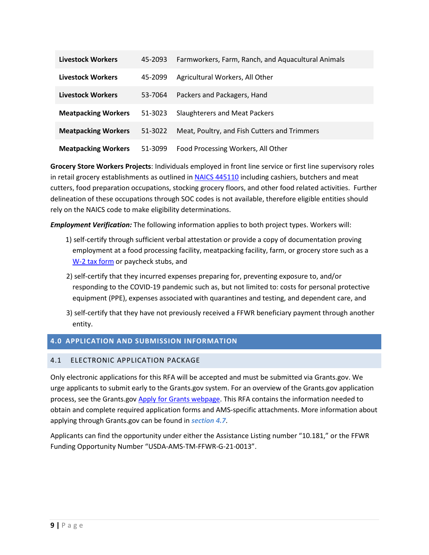| <b>Livestock Workers</b>   | 45-2093 | Farmworkers, Farm, Ranch, and Aquacultural Animals |
|----------------------------|---------|----------------------------------------------------|
| <b>Livestock Workers</b>   | 45-2099 | Agricultural Workers, All Other                    |
| <b>Livestock Workers</b>   | 53-7064 | Packers and Packagers, Hand                        |
| <b>Meatpacking Workers</b> | 51-3023 | <b>Slaughterers and Meat Packers</b>               |
| <b>Meatpacking Workers</b> | 51-3022 | Meat, Poultry, and Fish Cutters and Trimmers       |
| <b>Meatpacking Workers</b> | 51-3099 | Food Processing Workers, All Other                 |

**Grocery Store Workers Projects**: Individuals employed in front line service or first line supervisory roles in retail grocery establishments as outlined i[n NAICS 445110](https://www.census.gov/naics/?input=44&chart=2017&details=445110) including cashiers, butchers and meat cutters, food preparation occupations, stocking grocery floors, and other food related activities. Further delineation of these occupations through SOC codes is not available, therefore eligible entities should rely on the NAICS code to make eligibility determinations.

*Employment Verification:* The following information applies to both project types. Workers will:

- 1) self-certify through sufficient verbal attestation or provide a copy of documentation proving employment at a food processing facility, meatpacking facility, farm, or grocery store such as a [W-2 tax form](https://www.irs.gov/forms-pubs/about-form-w-2) or paycheck stubs, and
- 2) self-certify that they incurred expenses preparing for, preventing exposure to, and/or responding to the COVID-19 pandemic such as, but not limited to: costs for personal protective equipment (PPE), expenses associated with quarantines and testing, and dependent care, and
- 3) self-certify that they have not previously received a FFWR beneficiary payment through another entity.

#### <span id="page-8-0"></span>**4.0 APPLICATION AND SUBMISSION INFORMATION**

#### <span id="page-8-1"></span>4.1 ELECTRONIC APPLICATION PACKAGE

Only electronic applications for this RFA will be accepted and must be submitted via Grants.gov. We urge applicants to submit early to the Grants.gov system. For an overview of the Grants.gov application process, see the Grants.go[v Apply for Grants webpage.](https://www.grants.gov/web/grants/applicants/apply-for-grants.html) This RFA contains the information needed to obtain and complete required application forms and AMS-specific attachments. More information about applying through Grants.gov can be found in *[section](#page-13-0) 4.7*.

Applicants can find the opportunity under either the Assistance Listing number "10.181," or the FFWR Funding Opportunity Number "USDA-AMS-TM-FFWR-G-21-0013".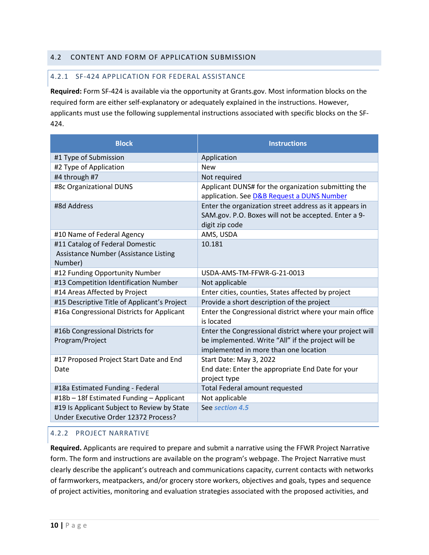#### <span id="page-9-0"></span>4.2 CONTENT AND FORM OF APPLICATION SUBMISSION

#### 4.2.1 SF-424 APPLICATION FOR FEDERAL ASSISTANCE

**Required:** Form SF-424 is available via the opportunity at Grants.gov. Most information blocks on the required form are either self-explanatory or adequately explained in the instructions. However, applicants must use the following supplemental instructions associated with specific blocks on the SF-424.

| <b>Block</b>                                                                        | <b>Instructions</b>                                                                                                                                     |
|-------------------------------------------------------------------------------------|---------------------------------------------------------------------------------------------------------------------------------------------------------|
| #1 Type of Submission                                                               | Application                                                                                                                                             |
| #2 Type of Application                                                              | <b>New</b>                                                                                                                                              |
| #4 through #7                                                                       | Not required                                                                                                                                            |
| #8c Organizational DUNS                                                             | Applicant DUNS# for the organization submitting the<br>application. See D&B Request a DUNS Number                                                       |
| #8d Address                                                                         | Enter the organization street address as it appears in<br>SAM.gov. P.O. Boxes will not be accepted. Enter a 9-<br>digit zip code                        |
| #10 Name of Federal Agency                                                          | AMS, USDA                                                                                                                                               |
| #11 Catalog of Federal Domestic<br>Assistance Number (Assistance Listing<br>Number) | 10.181                                                                                                                                                  |
| #12 Funding Opportunity Number                                                      | USDA-AMS-TM-FFWR-G-21-0013                                                                                                                              |
| #13 Competition Identification Number                                               | Not applicable                                                                                                                                          |
| #14 Areas Affected by Project                                                       | Enter cities, counties, States affected by project                                                                                                      |
| #15 Descriptive Title of Applicant's Project                                        | Provide a short description of the project                                                                                                              |
| #16a Congressional Districts for Applicant                                          | Enter the Congressional district where your main office<br>is located                                                                                   |
| #16b Congressional Districts for<br>Program/Project                                 | Enter the Congressional district where your project will<br>be implemented. Write "All" if the project will be<br>implemented in more than one location |
| #17 Proposed Project Start Date and End<br>Date                                     | Start Date: May 3, 2022<br>End date: Enter the appropriate End Date for your<br>project type                                                            |
| #18a Estimated Funding - Federal                                                    | <b>Total Federal amount requested</b>                                                                                                                   |
| #18b - 18f Estimated Funding - Applicant                                            | Not applicable                                                                                                                                          |
| #19 Is Applicant Subject to Review by State<br>Under Executive Order 12372 Process? | See section 4.5                                                                                                                                         |

#### 4.2.2 PROJECT NARRATIVE

**Required.** Applicants are required to prepare and submit a narrative using the FFWR Project Narrative form. The form and instructions are available on the program's webpage. The Project Narrative must clearly describe the applicant's outreach and communications capacity, current contacts with networks of farmworkers, meatpackers, and/or grocery store workers, objectives and goals, types and sequence of project activities, monitoring and evaluation strategies associated with the proposed activities, and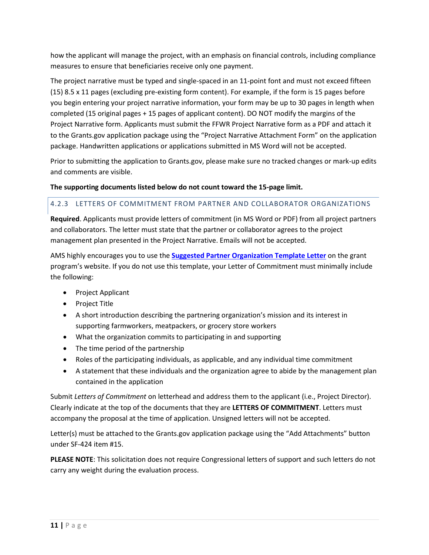how the applicant will manage the project, with an emphasis on financial controls, including compliance measures to ensure that beneficiaries receive only one payment.

The project narrative must be typed and single-spaced in an 11-point font and must not exceed fifteen (15) 8.5 x 11 pages (excluding pre-existing form content). For example, if the form is 15 pages before you begin entering your project narrative information, your form may be up to 30 pages in length when completed (15 original pages + 15 pages of applicant content). DO NOT modify the margins of the Project Narrative form. Applicants must submit the FFWR Project Narrative form as a PDF and attach it to the Grants.gov application package using the "Project Narrative Attachment Form" on the application package. Handwritten applications or applications submitted in MS Word will not be accepted.

Prior to submitting the application to Grants.gov, please make sure no tracked changes or mark-up edits and comments are visible.

# **The supporting documents listed below do not count toward the 15-page limit.**

# 4.2.3 LETTERS OF COMMITMENT FROM PARTNER AND COLLABORATOR ORGANIZATIONS

**Required**. Applicants must provide letters of commitment (in MS Word or PDF) from all project partners and collaborators. The letter must state that the partner or collaborator agrees to the project management plan presented in the Project Narrative. Emails will not be accepted.

AMS highly encourages you to use the **[Suggested Partner Organization Template Letter](https://www.ams.usda.gov/sites/default/files/media/PartneringOrganizationTemplateLetter.docx)** on the grant program's website. If you do not use this template, your Letter of Commitment must minimally include the following:

- Project Applicant
- Project Title
- A short introduction describing the partnering organization's mission and its interest in supporting farmworkers, meatpackers, or grocery store workers
- What the organization commits to participating in and supporting
- The time period of the partnership
- Roles of the participating individuals, as applicable, and any individual time commitment
- A statement that these individuals and the organization agree to abide by the management plan contained in the application

Submit *Letters of Commitment* on letterhead and address them to the applicant (i.e., Project Director). Clearly indicate at the top of the documents that they are **LETTERS OF COMMITMENT**. Letters must accompany the proposal at the time of application. Unsigned letters will not be accepted.

Letter(s) must be attached to the Grants.gov application package using the "Add Attachments" button under SF-424 item #15.

**PLEASE NOTE**: This solicitation does not require Congressional letters of support and such letters do not carry any weight during the evaluation process.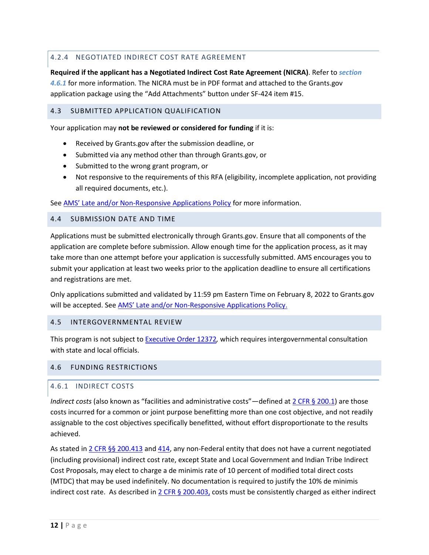# 4.2.4 NEGOTIATED INDIRECT COST RATE AGREEMENT

**Required if the applicant has a Negotiated Indirect Cost Rate Agreement (NICRA)**. Refer to *[section](#page-11-4)  [4.6.1](#page-11-4)* for more information. The NICRA must be in PDF format and attached to the Grants.gov application package using the "Add Attachments" button under SF-424 item #15.

### <span id="page-11-0"></span>4.3 SUBMITTED APPLICATION QUALIFICATION

Your application may **not be reviewed or considered for funding** if it is:

- Received by Grants.gov after the submission deadline, or
- Submitted via any method other than through Grants.gov, or
- Submitted to the wrong grant program, or
- Not responsive to the requirements of this RFA (eligibility, incomplete application, not providing all required documents, etc.).

Se[e AMS' Late and/or Non-Responsive Applications](https://www.ams.usda.gov/sites/default/files/media/AMSPolicyonConsiderationofLateNonresponsiveApplications.pdf) Policy for more information.

#### <span id="page-11-1"></span>4.4 SUBMISSION DATE AND TIME

Applications must be submitted electronically through Grants.gov. Ensure that all components of the application are complete before submission. Allow enough time for the application process, as it may take more than one attempt before your application is successfully submitted. AMS encourages you to submit your application at least two weeks prior to the application deadline to ensure all certifications and registrations are met.

Only applications submitted and validated by 11:59 pm Eastern Time on February 8, 2022 to Grants.gov will be accepted. See [AMS' Late and/or Non-Responsive Applications Policy.](https://www.ams.usda.gov/sites/default/files/media/AMSPolicyonConsiderationofLateNonresponsiveApplications.pdf)

#### <span id="page-11-2"></span>4.5 INTERGOVERNMENTAL REVIEW

This program is not subject to [Executive Order 12372](https://www.whitehouse.gov/wp-content/uploads/2020/04/SPOC-4-13-20.pdf)*,* which requires intergovernmental consultation with state and local officials.

#### <span id="page-11-3"></span>4.6 FUNDING RESTRICTIONS

#### <span id="page-11-4"></span>4.6.1 INDIRECT COSTS

*Indirect costs* (also known as "facilities and administrative costs"—defined at [2 CFR § 200.1\)](https://www.ecfr.gov/current/title-2/subtitle-A/chapter-II/part-200/subpart-A/subject-group-ECFR2a6a0087862fd2c/section-200.1) are those costs incurred for a common or joint purpose benefitting more than one cost objective, and not readily assignable to the cost objectives specifically benefitted, without effort disproportionate to the results achieved.

As stated i[n 2 CFR §§](https://www.ecfr.gov/current/title-2/subtitle-A/chapter-II/part-200/subpart-E/subject-group-ECFRd93f2a98b1f6455/section-200.413) 200.413 an[d 414,](https://www.ecfr.gov/current/title-2/subtitle-A/chapter-II/part-200/subpart-E/subject-group-ECFRd93f2a98b1f6455/section-200.414) any non-Federal entity that does not have a current negotiated (including provisional) indirect cost rate, except State and Local Government and Indian Tribe Indirect Cost Proposals, may elect to charge a de minimis rate of 10 percent of modified total direct costs (MTDC) that may be used indefinitely. No documentation is required to justify the 10% de minimis indirect cost rate. As described in  $2$  CFR § [200.403,](https://www.ecfr.gov/current/title-2/subtitle-A/chapter-II/part-200/subpart-E/subject-group-ECFRea20080eff2ea53/section-200.403) costs must be consistently charged as either indirect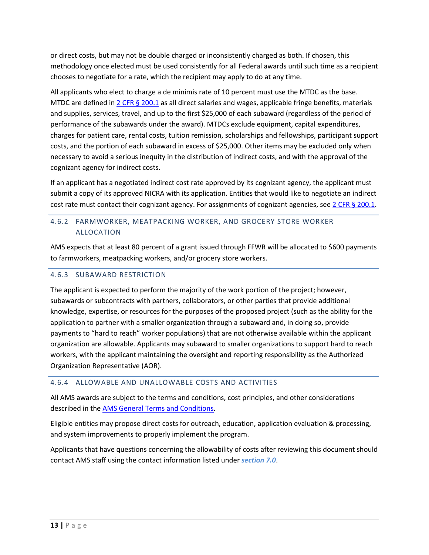or direct costs, but may not be double charged or inconsistently charged as both. If chosen, this methodology once elected must be used consistently for all Federal awards until such time as a recipient chooses to negotiate for a rate, which the recipient may apply to do at any time.

All applicants who elect to charge a de minimis rate of 10 percent must use the MTDC as the base. MTDC are defined i[n 2 CFR §](https://www.ecfr.gov/current/title-2/subtitle-A/chapter-II/part-200/subpart-A/subject-group-ECFR2a6a0087862fd2c/section-200.1) 200.1 as all direct salaries and wages, applicable fringe benefits, materials and supplies, services, travel, and up to the first \$25,000 of each subaward (regardless of the period of performance of the subawards under the award). MTDCs exclude equipment, capital expenditures, charges for patient care, rental costs, tuition remission, scholarships and fellowships, participant support costs, and the portion of each subaward in excess of \$25,000. Other items may be excluded only when necessary to avoid a serious inequity in the distribution of indirect costs, and with the approval of the cognizant agency for indirect costs.

If an applicant has a negotiated indirect cost rate approved by its cognizant agency, the applicant must submit a copy of its approved NICRA with its application. Entities that would like to negotiate an indirect cost rate must contact their cognizant agency. For assignments of cognizant agencies, see  $2$  CFR § 200.1.

# 4.6.2 FARMWORKER, MEATPACKING WORKER, AND GROCERY STORE WORKER ALLOCATION

AMS expects that at least 80 percent of a grant issued through FFWR will be allocated to \$600 payments to farmworkers, meatpacking workers, and/or grocery store workers.

# 4.6.3 SUBAWARD RESTRICTION

The applicant is expected to perform the majority of the work portion of the project; however, subawards or subcontracts with partners, collaborators, or other parties that provide additional knowledge, expertise, or resources for the purposes of the proposed project (such as the ability for the application to partner with a smaller organization through a subaward and, in doing so, provide payments to "hard to reach" worker populations) that are not otherwise available within the applicant organization are allowable. Applicants may subaward to smaller organizations to support hard to reach workers, with the applicant maintaining the oversight and reporting responsibility as the Authorized Organization Representative (AOR).

# 4.6.4 ALLOWABLE AND UNALLOWABLE COSTS AND ACTIVITIES

All AMS awards are subject to the terms and conditions, cost principles, and other considerations described in the [AMS General Terms and Conditions.](https://www.ams.usda.gov/sites/default/files/media/FY2021_GD_TermsandConditions.pdf)

Eligible entities may propose direct costs for outreach, education, application evaluation & processing, and system improvements to properly implement the program.

Applicants that have questions concerning the allowability of costs after reviewing this document should contact AMS staff using the contact information listed under *[section](#page-19-2) 7.0*.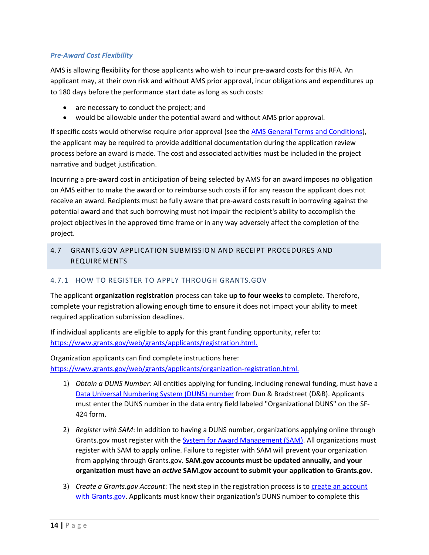#### *Pre-Award Cost Flexibility*

AMS is allowing flexibility for those applicants who wish to incur pre-award costs for this RFA. An applicant may, at their own risk and without AMS prior approval, incur obligations and expenditures up to 180 days before the performance start date as long as such costs:

- are necessary to conduct the project; and
- would be allowable under the potential award and without AMS prior approval.

If specific costs would otherwise require prior approval (see th[e AMS General Terms and Conditions\)](https://www.ams.usda.gov/sites/default/files/media/FY2021_GD_TermsandConditions.pdf), the applicant may be required to provide additional documentation during the application review process before an award is made. The cost and associated activities must be included in the project narrative and budget justification.

Incurring a pre-award cost in anticipation of being selected by AMS for an award imposes no obligation on AMS either to make the award or to reimburse such costs if for any reason the applicant does not receive an award. Recipients must be fully aware that pre-award costs result in borrowing against the potential award and that such borrowing must not impair the recipient's ability to accomplish the project objectives in the approved time frame or in any way adversely affect the completion of the project.

# <span id="page-13-0"></span>4.7 GRANTS.GOV APPLICATION SUBMISSION AND RECEIPT PROCEDURES AND REQUIREMENTS

#### 4.7.1 HOW TO REGISTER TO APPLY THROUGH GRANTS.GOV

The applicant **organization registration** process can take **up to four weeks** to complete. Therefore, complete your registration allowing enough time to ensure it does not impact your ability to meet required application submission deadlines.

If individual applicants are eligible to apply for this grant funding opportunity, refer to: [https://www.grants.gov/web/grants/applicants/registration.html.](https://www.grants.gov/web/grants/applicants/registration.html)

Organization applicants can find complete instructions here: [https://www.grants.gov/web/grants/applicants/organization-registration.html.](https://www.grants.gov/web/grants/applicants/organization-registration.html)

- 1) *Obtain a DUNS Number*: All entities applying for funding, including renewal funding, must have a [Data Universal Numbering System \(DUNS\) number](https://www.grants.gov/web/grants/applicants/organization-registration/step-1-obtain-duns-number.html) from Dun & Bradstreet (D&B). Applicants must enter the DUNS number in the data entry field labeled "Organizational DUNS" on the SF-424 form.
- 2) *Register with SAM*: In addition to having a DUNS number, organizations applying online through Grants.gov must register with th[e System for Award Management \(SAM\).](https://www.grants.gov/web/grants/applicants/organization-registration/step-2-register-with-sam.html) All organizations must register with SAM to apply online. Failure to register with SAM will prevent your organization from applying through Grants.gov. **SAM.gov accounts must be updated annually, and your organization must have an** *active* **SAM.gov account to submit your application to Grants.gov.**
- 3) *Create a Grants.gov Account*: The next step in the registration process is t[o create an account](https://www.grants.gov/web/grants/register.html)  [with Grants.gov.](https://www.grants.gov/web/grants/register.html) Applicants must know their organization's DUNS number to complete this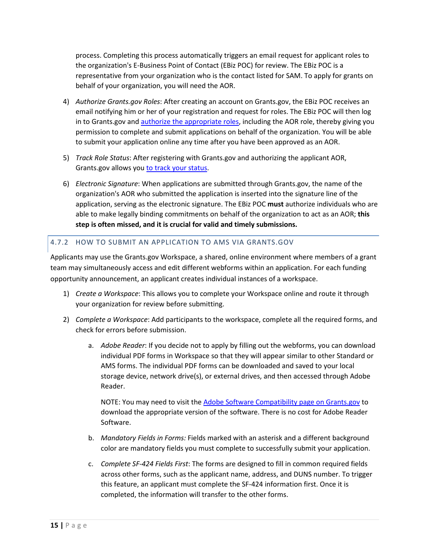process. Completing this process automatically triggers an email request for applicant roles to the organization's E-Business Point of Contact (EBiz POC) for review. The EBiz POC is a representative from your organization who is the contact listed for SAM. To apply for grants on behalf of your organization, you will need the AOR.

- 4) *Authorize Grants.gov Roles*: After creating an account on Grants.gov, the EBiz POC receives an email notifying him or her of your registration and request for roles. The EBiz POC will then log in to Grants.gov and [authorize the appropriate roles,](https://www.grants.gov/web/grants/applicants/registration/authorize-roles.html) including the AOR role, thereby giving you permission to complete and submit applications on behalf of the organization. You will be able to submit your application online any time after you have been approved as an AOR.
- 5) *Track Role Status*: After registering with Grants.gov and authorizing the applicant AOR, Grants.gov allows you [to track your status.](https://www.grants.gov/web/grants/applicants/registration/track-role-status.html)
- 6) *Electronic Signature*: When applications are submitted through Grants.gov, the name of the organization's AOR who submitted the application is inserted into the signature line of the application, serving as the electronic signature. The EBiz POC **must** authorize individuals who are able to make legally binding commitments on behalf of the organization to act as an AOR; **this step is often missed, and it is crucial for valid and timely submissions.**

# 4.7.2 HOW TO SUBMIT AN APPLICATION TO AMS VIA GRANTS.GOV

Applicants may use the Grants.gov Workspace, a shared, online environment where members of a grant team may simultaneously access and edit different webforms within an application. For each funding opportunity announcement, an applicant creates individual instances of a workspace.

- 1) *Create a Workspace*: This allows you to complete your Workspace online and route it through your organization for review before submitting.
- 2) *Complete a Workspace*: Add participants to the workspace, complete all the required forms, and check for errors before submission.
	- a. *Adobe Reader*: If you decide not to apply by filling out the webforms, you can download individual PDF forms in Workspace so that they will appear similar to other Standard or AMS forms. The individual PDF forms can be downloaded and saved to your local storage device, network drive(s), or external drives, and then accessed through Adobe Reader.

NOTE: You may need to visit the [Adobe Software Compatibility page on Grants.gov](https://www.grants.gov/web/grants/applicants/adobe-software-compatibility.html) to download the appropriate version of the software. There is no cost for Adobe Reader Software.

- b. *Mandatory Fields in Forms:* Fields marked with an asterisk and a different background color are mandatory fields you must complete to successfully submit your application.
- c. *Complete SF-424 Fields First*: The forms are designed to fill in common required fields across other forms, such as the applicant name, address, and DUNS number. To trigger this feature, an applicant must complete the SF-424 information first. Once it is completed, the information will transfer to the other forms.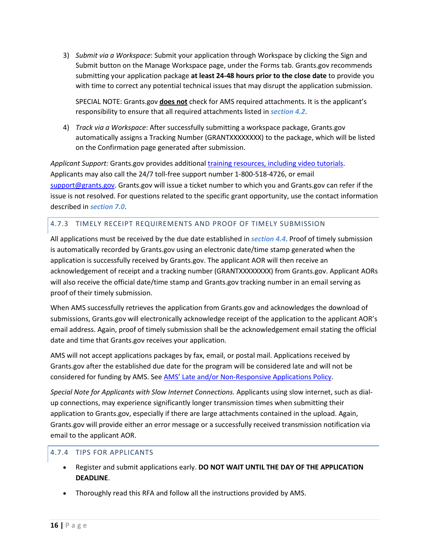3) *Submit via a Workspace*: Submit your application through Workspace by clicking the Sign and Submit button on the Manage Workspace page, under the Forms tab. Grants.gov recommends submitting your application package **at least 24-48 hours prior to the close date** to provide you with time to correct any potential technical issues that may disrupt the application submission.

SPECIAL NOTE: Grants.gov **does not** check for AMS required attachments. It is the applicant's responsibility to ensure that all required attachments listed in *[section](#page-9-0) 4.2*.

4) *Track via a Workspace*: After successfully submitting a workspace package, Grants.gov automatically assigns a Tracking Number (GRANTXXXXXXXX) to the package, which will be listed on the Confirmation page generated after submission.

*Applicant Support:* Grants.gov provides additiona[l training resources, including video tutorials.](https://www.grants.gov/web/grants/applicants/applicant-training.html) Applicants may also call the 24/7 toll-free support number 1-800-518-4726, or email [support@grants.gov.](mailto:support@grants.gov) Grants.gov will issue a ticket number to which you and Grants.gov can refer if the issue is not resolved. For questions related to the specific grant opportunity, use the contact information described in *[section 7.0](#page-19-2)*.

#### 4.7.3 TIMELY RECEIPT REQUIREMENTS AND PROOF OF TIMELY SUBMISSION

All applications must be received by the due date established in *[section 4.4](#page-11-1)*. Proof of timely submission is automatically recorded by Grants.gov using an electronic date/time stamp generated when the application is successfully received by Grants.gov. The applicant AOR will then receive an acknowledgement of receipt and a tracking number (GRANTXXXXXXXX) from Grants.gov. Applicant AORs will also receive the official date/time stamp and Grants.gov tracking number in an email serving as proof of their timely submission.

When AMS successfully retrieves the application from Grants.gov and acknowledges the download of submissions, Grants.gov will electronically acknowledge receipt of the application to the applicant AOR's email address. Again, proof of timely submission shall be the acknowledgement email stating the official date and time that Grants.gov receives your application.

AMS will not accept applications packages by fax, email, or postal mail. Applications received by Grants.gov after the established due date for the program will be considered late and will not be considered for funding by AMS. See [AMS' Late and/or Non-Responsive Applications](https://www.ams.usda.gov/sites/default/files/media/AMSPolicyonConsiderationofLateNonresponsiveApplications.pdf) Policy.

*Special Note for Applicants with Slow Internet Connections.* Applicants using slow internet, such as dialup connections, may experience significantly longer transmission times when submitting their application to Grants.gov, especially if there are large attachments contained in the upload. Again, Grants.gov will provide either an error message or a successfully received transmission notification via email to the applicant AOR.

#### 4.7.4 TIPS FOR APPLICANTS

- Register and submit applications early. **DO NOT WAIT UNTIL THE DAY OF THE APPLICATION DEADLINE**.
- Thoroughly read this RFA and follow all the instructions provided by AMS.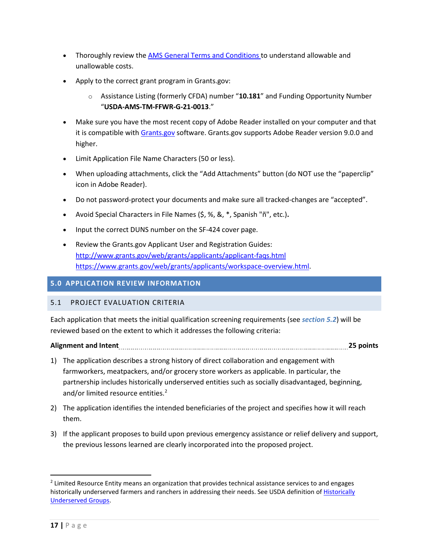- Thoroughly review th[e AMS General Terms and Conditions t](https://www.ams.usda.gov/sites/default/files/media/FY2021_GD_TermsandConditions.pdf)o understand allowable and unallowable costs.
- Apply to the correct grant program in Grants.gov:
	- o Assistance Listing (formerly CFDA) number "**10.181**" and Funding Opportunity Number "**USDA-AMS-TM-FFWR-G-21-0013**."
- Make sure you have the most recent copy of Adobe Reader installed on your computer and that it is compatible with [Grants.gov](http://www.grants.gov/) software. Grants.gov supports Adobe Reader version 9.0.0 and higher.
- Limit Application File Name Characters (50 or less).
- When uploading attachments, click the "Add Attachments" button (do NOT use the "paperclip" icon in Adobe Reader).
- Do not password-protect your documents and make sure all tracked-changes are "accepted".
- Avoid Special Characters in File Names (\$, %, &, \*, Spanish "ñ", etc.)**.**
- Input the correct DUNS number on the SF-424 cover page.
- Review the Grants.gov Applicant User and Registration Guides: <http://www.grants.gov/web/grants/applicants/applicant-faqs.html> [https://www.grants.gov/web/grants/applicants/workspace-overview.html.](https://www.grants.gov/web/grants/applicants/workspace-overview.html)

#### <span id="page-16-0"></span>**5.0 APPLICATION REVIEW INFORMATION**

#### <span id="page-16-1"></span>5.1 PROJECT EVALUATION CRITERIA

Each application that meets the initial qualification screening requirements (see *section [5.2](#page-18-0)*) will be reviewed based on the extent to which it addresses the following criteria:

# **Alignment and Intent 25 points**

- 1) The application describes a strong history of direct collaboration and engagement with farmworkers, meatpackers, and/or grocery store workers as applicable. In particular, the partnership includes historically underserved entities such as socially disadvantaged, beginning, and/or limited resource entities. [2](#page-16-2)
- 2) The application identifies the intended beneficiaries of the project and specifies how it will reach them.
- 3) If the applicant proposes to build upon previous emergency assistance or relief delivery and support, the previous lessons learned are clearly incorporated into the proposed project.

<span id="page-16-2"></span><sup>&</sup>lt;sup>2</sup> Limited Resource Entity means an organization that provides technical assistance services to and engages historically underserved farmers and ranchers in addressing their needs. See USDA definition of [Historically](https://www.nrcs.usda.gov/wps/portal/nrcs/detail/national/people/outreach/slbfr/?cid=nrcsdev11_001040) [Underserved Groups.](https://www.nrcs.usda.gov/wps/portal/nrcs/detail/national/people/outreach/slbfr/?cid=nrcsdev11_001040)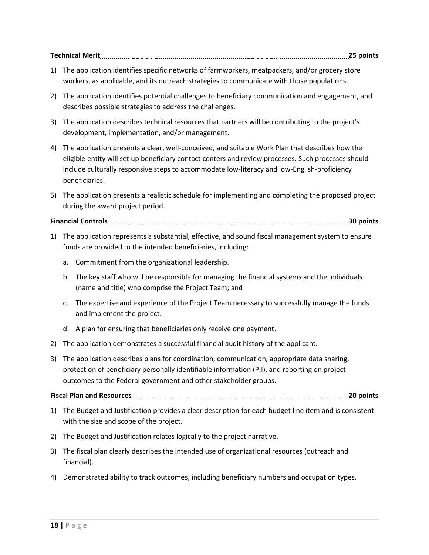**Technical Merit 25 points**

- 1) The application identifies specific networks of farmworkers, meatpackers, and/or grocery store workers, as applicable, and its outreach strategies to communicate with those populations.
- 2) The application identifies potential challenges to beneficiary communication and engagement, and describes possible strategies to address the challenges.
- 3) The application describes technical resources that partners will be contributing to the project's development, implementation, and/or management.
- 4) The application presents a clear, well-conceived, and suitable Work Plan that describes how the eligible entity will set up beneficiary contact centers and review processes. Such processes should include culturally responsive steps to accommodate low-literacy and low-English-proficiency beneficiaries.
- 5) The application presents a realistic schedule for implementing and completing the proposed project during the award project period.

**Financial Controls 30 points**

- 1) The application represents a substantial, effective, and sound fiscal management system to ensure funds are provided to the intended beneficiaries, including:
	- a. Commitment from the organizational leadership.
	- b. The key staff who will be responsible for managing the financial systems and the individuals (name and title) who comprise the Project Team; and
	- c. The expertise and experience of the Project Team necessary to successfully manage the funds and implement the project.
	- d. A plan for ensuring that beneficiaries only receive one payment.
- 2) The application demonstrates a successful financial audit history of the applicant.
- 3) The application describes plans for coordination, communication, appropriate data sharing, protection of beneficiary personally identifiable information (PII), and reporting on project outcomes to the Federal government and other stakeholder groups.

# **Fiscal Plan and Resources 20 points**

- 1) The Budget and Justification provides a clear description for each budget line item and is consistent with the size and scope of the project.
- 2) The Budget and Justification relates logically to the project narrative.
- 3) The fiscal plan clearly describes the intended use of organizational resources (outreach and financial).
- 4) Demonstrated ability to track outcomes, including beneficiary numbers and occupation types.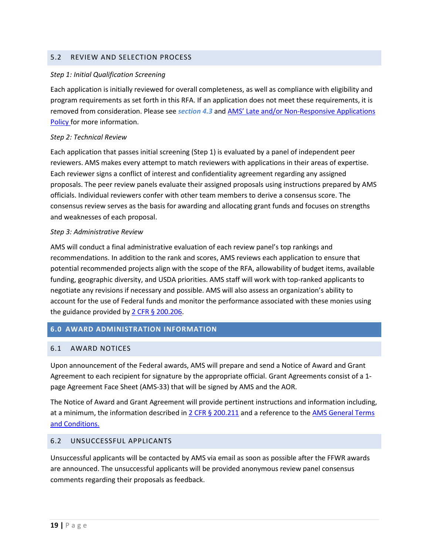#### <span id="page-18-0"></span>5.2 REVIEW AND SELECTION PROCESS

#### *Step 1: Initial Qualification Screening*

Each application is initially reviewed for overall completeness, as well as compliance with eligibility and program requirements as set forth in this RFA. If an application does not meet these requirements, it is removed from consideration. Please see *[section 4.3](#page-11-0)* and [AMS' Late and/or Non-Responsive Applications](https://www.ams.usda.gov/sites/default/files/media/AMSPolicyonConsiderationofLateNonresponsiveApplications.pdf) [Policy f](https://www.ams.usda.gov/sites/default/files/media/AMSPolicyonConsiderationofLateNonresponsiveApplications.pdf)or more information.

#### *Step 2: Technical Review*

Each application that passes initial screening (Step 1) is evaluated by a panel of independent peer reviewers. AMS makes every attempt to match reviewers with applications in their areas of expertise. Each reviewer signs a conflict of interest and confidentiality agreement regarding any assigned proposals. The peer review panels evaluate their assigned proposals using instructions prepared by AMS officials. Individual reviewers confer with other team members to derive a consensus score. The consensus review serves as the basis for awarding and allocating grant funds and focuses on strengths and weaknesses of each proposal.

#### *Step 3: Administrative Review*

AMS will conduct a final administrative evaluation of each review panel's top rankings and recommendations. In addition to the rank and scores, AMS reviews each application to ensure that potential recommended projects align with the scope of the RFA, allowability of budget items, available funding, geographic diversity, and USDA priorities. AMS staff will work with top-ranked applicants to negotiate any revisions if necessary and possible. AMS will also assess an organization's ability to account for the use of Federal funds and monitor the performance associated with these monies using the guidance provided by [2 CFR § 200.206.](https://www.ecfr.gov/current/title-2/subtitle-A/chapter-II/part-200/subpart-C/section-200.206)

#### <span id="page-18-1"></span>**6.0 AWARD ADMINISTRATION INFORMATION**

#### <span id="page-18-2"></span>6.1 AWARD NOTICES

Upon announcement of the Federal awards, AMS will prepare and send a Notice of Award and Grant Agreement to each recipient for signature by the appropriate official. Grant Agreements consist of a 1 page Agreement Face Sheet (AMS-33) that will be signed by AMS and the AOR.

The Notice of Award and Grant Agreement will provide pertinent instructions and information including, at a minimum, the information described i[n 2 CFR § 200.211](https://www.ecfr.gov/current/title-2/subtitle-A/chapter-II/part-200/subpart-C/section-200.211) and a reference to the AMS General Terms [and Conditions.](https://www.ams.usda.gov/sites/default/files/media/FY2021_GD_TermsandConditions.pdf)

#### <span id="page-18-3"></span>6.2 UNSUCCESSFUL APPLICANTS

Unsuccessful applicants will be contacted by AMS via email as soon as possible after the FFWR awards are announced. The unsuccessful applicants will be provided anonymous review panel consensus comments regarding their proposals as feedback.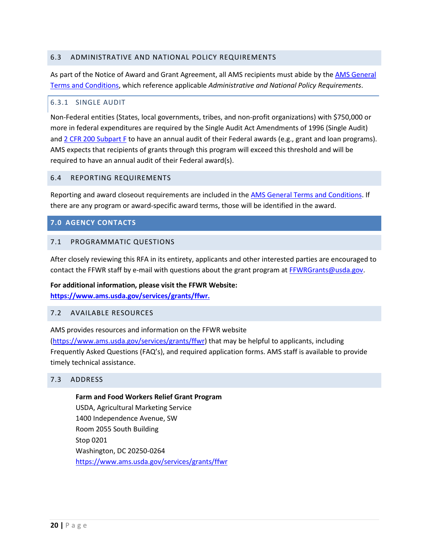#### <span id="page-19-0"></span>6.3 ADMINISTRATIVE AND NATIONAL POLICY REQUIREMENTS

As part of the Notice of Award and Grant Agreement, all AMS recipients must abide by the **AMS** General [Terms and Conditions,](https://www.ams.usda.gov/sites/default/files/media/FY2021_GD_TermsandConditions.pdf) which reference applicable *Administrative and National Policy Requirements*.

#### 6.3.1 SINGLE AUDIT

Non-Federal entities (States, local governments, tribes, and non-profit organizations) with \$750,000 or more in federal expenditures are required by the Single Audit Act Amendments of 1996 (Single Audit) and [2 CFR 200 Subpart F](https://www.ecfr.gov/current/title-2/subtitle-A/chapter-II/part-200/subpart-F) to have an annual audit of their Federal awards (e.g., grant and loan programs). AMS expects that recipients of grants through this program will exceed this threshold and will be required to have an annual audit of their Federal award(s).

#### <span id="page-19-1"></span>6.4 REPORTING REQUIREMENTS

Reporting and award closeout requirements are included in the [AMS General Terms and Conditions.](https://www.ams.usda.gov/sites/default/files/media/FY2021_GD_TermsandConditions.pdf) If there are any program or award-specific award terms, those will be identified in the award.

#### <span id="page-19-2"></span>**7.0 AGENCY CONTACTS**

#### <span id="page-19-3"></span>7.1 PROGRAMMATIC QUESTIONS

After closely reviewing this RFA in its entirety, applicants and other interested parties are encouraged to contact the FFWR staff by e-mail with questions about the grant program at [FFWRGrants@usda.gov.](mailto:XXX@usda.gov)

#### **For additional information, please visit the FFWR Website:**

**[https://www.ams.usda.gov/services/grants/ffwr.](https://www.ams.usda.gov/services/grants/ffwr)**

#### <span id="page-19-4"></span>7.2 AVAILABLE RESOURCES

AMS provides resources and information on the FFWR website

[\(https://www.ams.usda.gov/services/grants/ffwr\)](https://www.ams.usda.gov/services/grants/ffwr) that may be helpful to applicants, including Frequently Asked Questions (FAQ's), and required application forms. AMS staff is available to provide timely technical assistance.

#### <span id="page-19-5"></span>7.3 ADDRESS

# **Farm and Food Workers Relief Grant Program** USDA, Agricultural Marketing Service 1400 Independence Avenue, SW Room 2055 South Building Stop 0201 Washington, DC 20250-0264 <https://www.ams.usda.gov/services/grants/ffwr>